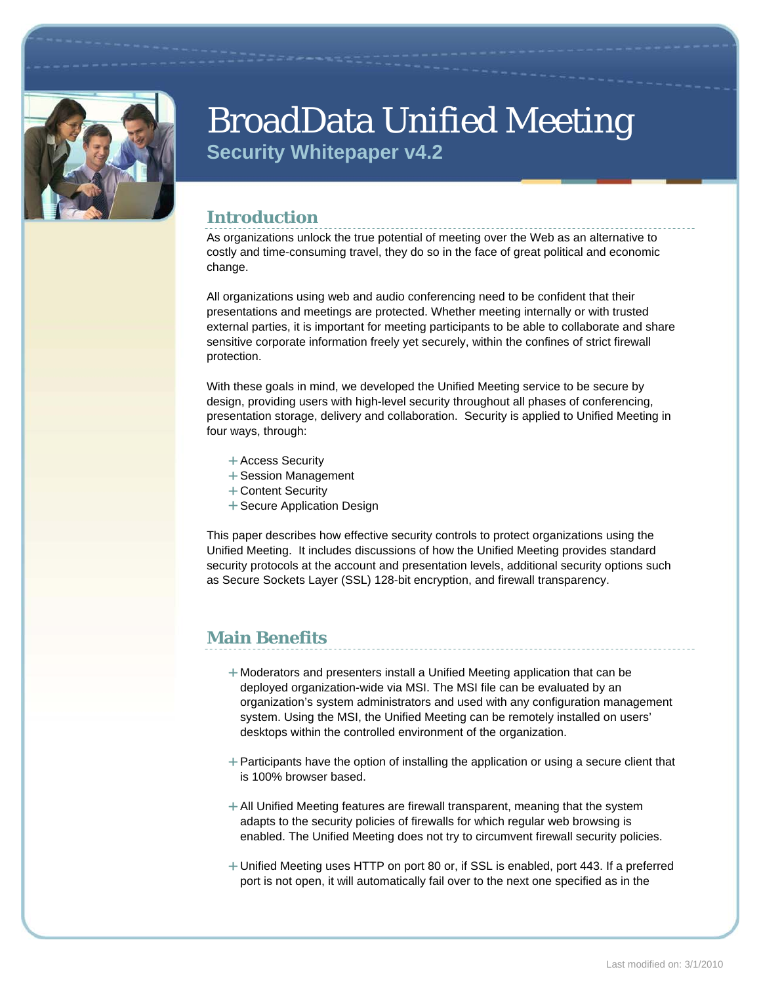

# BroadData Unified Meeting **Security Whitepaper v4.2**

# **Introduction**

As organizations unlock the true potential of meeting over the Web as an alternative to costly and time-consuming travel, they do so in the face of great political and economic change.

All organizations using web and audio conferencing need to be confident that their presentations and meetings are protected. Whether meeting internally or with trusted external parties, it is important for meeting participants to be able to collaborate and share sensitive corporate information freely yet securely, within the confines of strict firewall protection.

With these goals in mind, we developed the Unified Meeting service to be secure by design, providing users with high-level security throughout all phases of conferencing, presentation storage, delivery and collaboration. Security is applied to Unified Meeting in four ways, through:

- + Access Security
- + Session Management
- + Content Security
- + Secure Application Design

This paper describes how effective security controls to protect organizations using the Unified Meeting. It includes discussions of how the Unified Meeting provides standard security protocols at the account and presentation levels, additional security options such as Secure Sockets Layer (SSL) 128-bit encryption, and firewall transparency.

# **Main Benefits**

- $+$  Moderators and presenters install a Unified Meeting application that can be deployed organization-wide via MSI. The MSI file can be evaluated by an organization's system administrators and used with any configuration management system. Using the MSI, the Unified Meeting can be remotely installed on users' desktops within the controlled environment of the organization.
- $+$  Participants have the option of installing the application or using a secure client that is 100% browser based.
- $+$  All Unified Meeting features are firewall transparent, meaning that the system adapts to the security policies of firewalls for which regular web browsing is enabled. The Unified Meeting does not try to circumvent firewall security policies.
- Unified Meeting uses HTTP on port 80 or, if SSL is enabled, port 443. If a preferred port is not open, it will automatically fail over to the next one specified as in the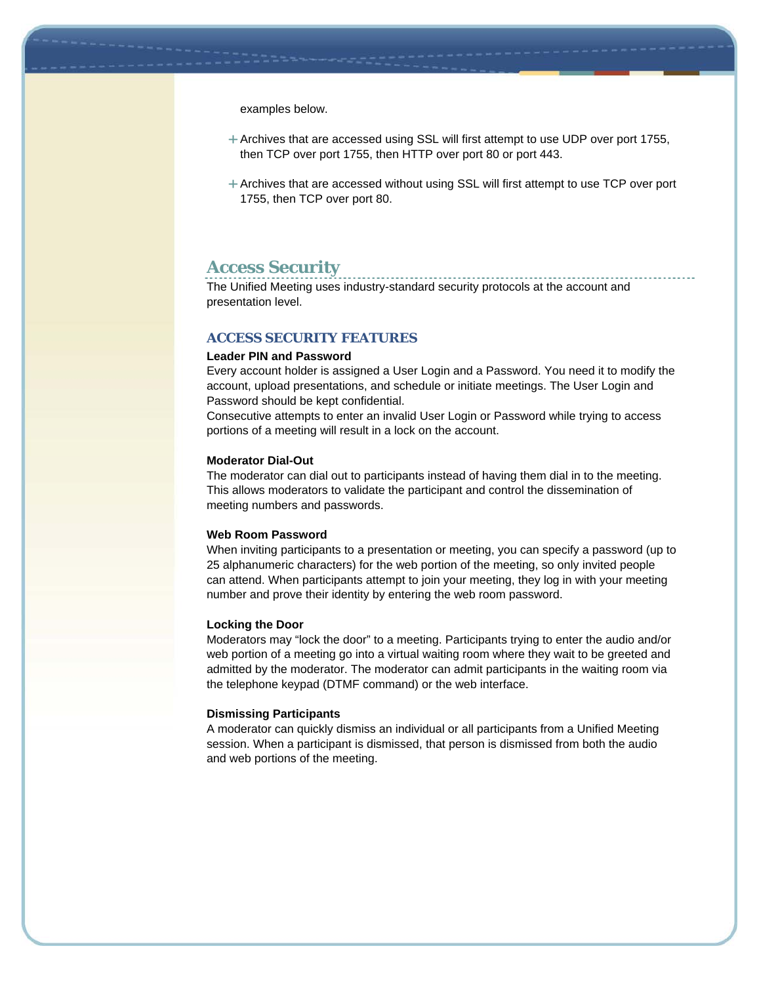examples below.

- $+$  Archives that are accessed using SSL will first attempt to use UDP over port 1755, then TCP over port 1755, then HTTP over port 80 or port 443.
- $+$  Archives that are accessed without using SSL will first attempt to use TCP over port 1755, then TCP over port 80.

### **Access Security**

The Unified Meeting uses industry-standard security protocols at the account and presentation level.

#### **ACCESS SECURITY FEATURES**

#### **Leader PIN and Password**

Every account holder is assigned a User Login and a Password. You need it to modify the account, upload presentations, and schedule or initiate meetings. The User Login and Password should be kept confidential.

Consecutive attempts to enter an invalid User Login or Password while trying to access portions of a meeting will result in a lock on the account.

#### **Moderator Dial-Out**

The moderator can dial out to participants instead of having them dial in to the meeting. This allows moderators to validate the participant and control the dissemination of meeting numbers and passwords.

#### **Web Room Password**

When inviting participants to a presentation or meeting, you can specify a password (up to 25 alphanumeric characters) for the web portion of the meeting, so only invited people can attend. When participants attempt to join your meeting, they log in with your meeting number and prove their identity by entering the web room password.

#### **Locking the Door**

Moderators may "lock the door" to a meeting. Participants trying to enter the audio and/or web portion of a meeting go into a virtual waiting room where they wait to be greeted and admitted by the moderator. The moderator can admit participants in the waiting room via the telephone keypad (DTMF command) or the web interface.

#### **Dismissing Participants**

A moderator can quickly dismiss an individual or all participants from a Unified Meeting session. When a participant is dismissed, that person is dismissed from both the audio and web portions of the meeting.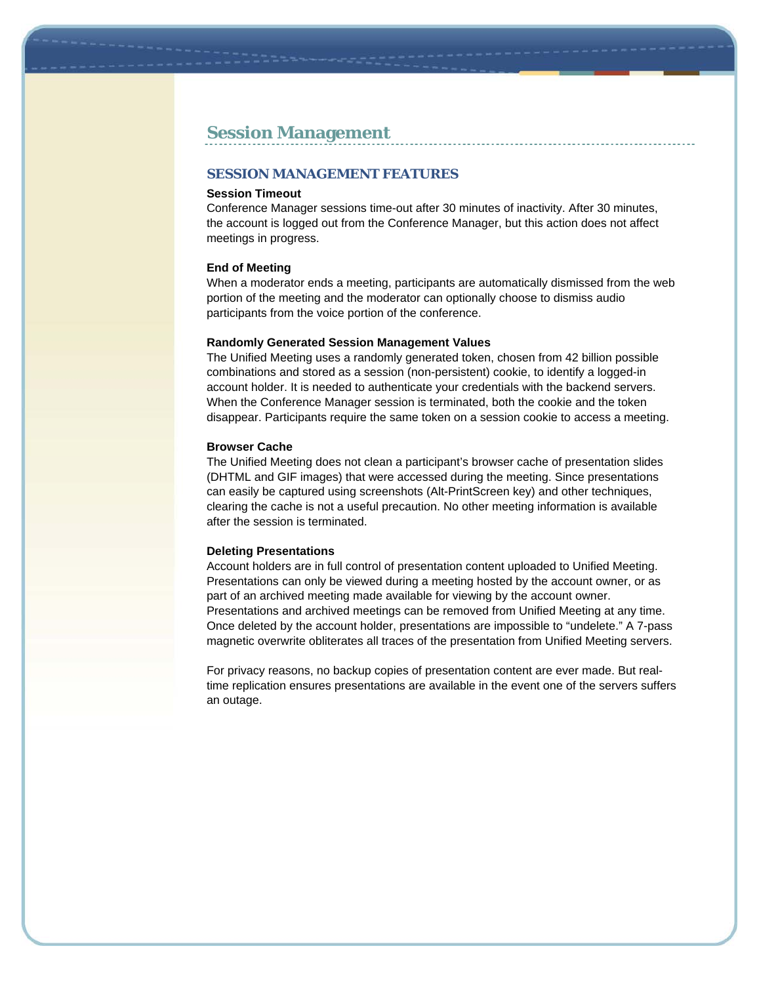### **Session Management**

#### **SESSION MANAGEMENT FEATURES**

#### **Session Timeout**

Conference Manager sessions time-out after 30 minutes of inactivity. After 30 minutes, the account is logged out from the Conference Manager, but this action does not affect meetings in progress.

#### **End of Meeting**

When a moderator ends a meeting, participants are automatically dismissed from the web portion of the meeting and the moderator can optionally choose to dismiss audio participants from the voice portion of the conference.

#### **Randomly Generated Session Management Values**

The Unified Meeting uses a randomly generated token, chosen from 42 billion possible combinations and stored as a session (non-persistent) cookie, to identify a logged-in account holder. It is needed to authenticate your credentials with the backend servers. When the Conference Manager session is terminated, both the cookie and the token disappear. Participants require the same token on a session cookie to access a meeting.

#### **Browser Cache**

The Unified Meeting does not clean a participant's browser cache of presentation slides (DHTML and GIF images) that were accessed during the meeting. Since presentations can easily be captured using screenshots (Alt-PrintScreen key) and other techniques, clearing the cache is not a useful precaution. No other meeting information is available after the session is terminated.

#### **Deleting Presentations**

Account holders are in full control of presentation content uploaded to Unified Meeting. Presentations can only be viewed during a meeting hosted by the account owner, or as part of an archived meeting made available for viewing by the account owner. Presentations and archived meetings can be removed from Unified Meeting at any time. Once deleted by the account holder, presentations are impossible to "undelete." A 7-pass magnetic overwrite obliterates all traces of the presentation from Unified Meeting servers.

For privacy reasons, no backup copies of presentation content are ever made. But realtime replication ensures presentations are available in the event one of the servers suffers an outage.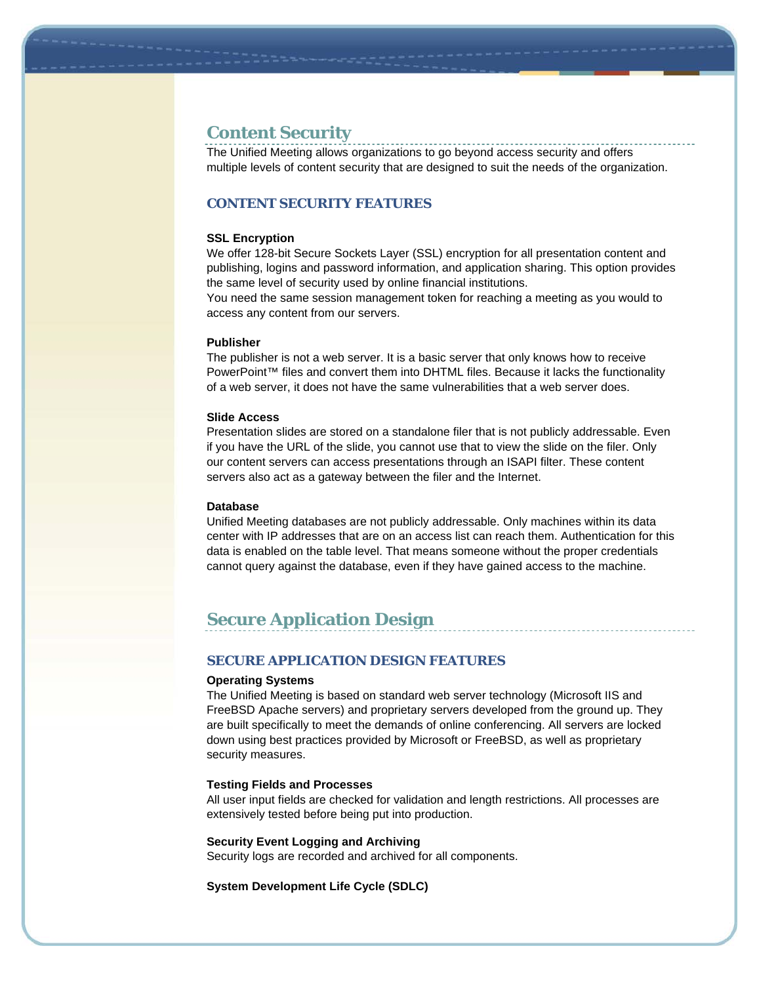### **Content Security**

The Unified Meeting allows organizations to go beyond access security and offers multiple levels of content security that are designed to suit the needs of the organization.

### **CONTENT SECURITY FEATURES**

#### **SSL Encryption**

We offer 128-bit Secure Sockets Layer (SSL) encryption for all presentation content and publishing, logins and password information, and application sharing. This option provides the same level of security used by online financial institutions.

You need the same session management token for reaching a meeting as you would to access any content from our servers.

#### **Publisher**

The publisher is not a web server. It is a basic server that only knows how to receive PowerPoint™ files and convert them into DHTML files. Because it lacks the functionality of a web server, it does not have the same vulnerabilities that a web server does.

#### **Slide Access**

Presentation slides are stored on a standalone filer that is not publicly addressable. Even if you have the URL of the slide, you cannot use that to view the slide on the filer. Only our content servers can access presentations through an ISAPI filter. These content servers also act as a gateway between the filer and the Internet.

#### **Database**

Unified Meeting databases are not publicly addressable. Only machines within its data center with IP addresses that are on an access list can reach them. Authentication for this data is enabled on the table level. That means someone without the proper credentials cannot query against the database, even if they have gained access to the machine.

# **Secure Application Design**

#### **SECURE APPLICATION DESIGN FEATURES**

#### **Operating Systems**

The Unified Meeting is based on standard web server technology (Microsoft IIS and FreeBSD Apache servers) and proprietary servers developed from the ground up. They are built specifically to meet the demands of online conferencing. All servers are locked down using best practices provided by Microsoft or FreeBSD, as well as proprietary security measures.

#### **Testing Fields and Processes**

All user input fields are checked for validation and length restrictions. All processes are extensively tested before being put into production.

#### **Security Event Logging and Archiving**

Security logs are recorded and archived for all components.

**System Development Life Cycle (SDLC)**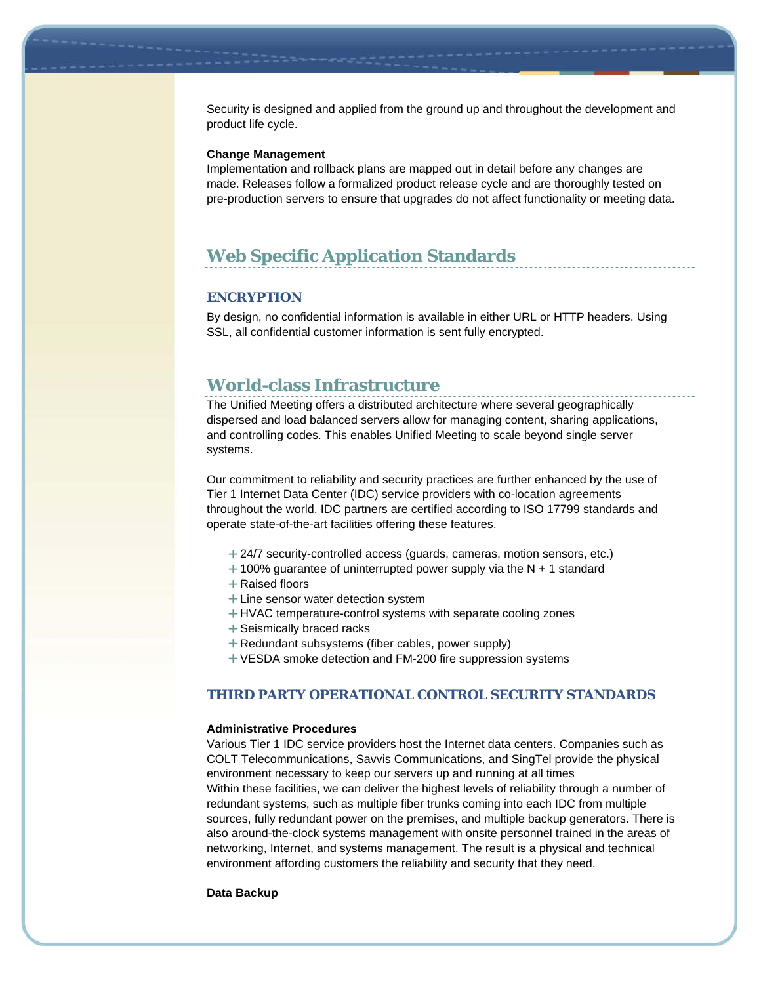Security is designed and applied from the ground up and throughout the development and product life cycle.

#### **Change Management**

Implementation and rollback plans are mapped out in detail before any changes are made. Releases follow a formalized product release cycle and are thoroughly tested on pre-production servers to ensure that upgrades do not affect functionality or meeting data.

# **Web Specific Application Standards**

#### **ENCRYPTION**

By design, no confidential information is available in either URL or HTTP headers. Using SSL, all confidential customer information is sent fully encrypted.

### **World-class Infrastructure**

The Unified Meeting offers a distributed architecture where several geographically dispersed and load balanced servers allow for managing content, sharing applications, and controlling codes. This enables Unified Meeting to scale beyond single server systems.

Our commitment to reliability and security practices are further enhanced by the use of Tier 1 Internet Data Center (IDC) service providers with co-location agreements throughout the world. IDC partners are certified according to ISO 17799 standards and operate state-of-the-art facilities offering these features.

- +24/7 security-controlled access (guards, cameras, motion sensors, etc.)
- $+100\%$  guarantee of uninterrupted power supply via the N  $+$  1 standard
- + Raised floors
- $+$  Line sensor water detection system
- HVAC temperature-control systems with separate cooling zones
- + Seismically braced racks
- Redundant subsystems (fiber cables, power supply)
- VESDA smoke detection and FM-200 fire suppression systems

#### **THIRD PARTY OPERATIONAL CONTROL SECURITY STANDARDS**

#### **Administrative Procedures**

Various Tier 1 IDC service providers host the Internet data centers. Companies such as COLT Telecommunications, Savvis Communications, and SingTel provide the physical environment necessary to keep our servers up and running at all times Within these facilities, we can deliver the highest levels of reliability through a number of redundant systems, such as multiple fiber trunks coming into each IDC from multiple sources, fully redundant power on the premises, and multiple backup generators. There is also around-the-clock systems management with onsite personnel trained in the areas of networking, Internet, and systems management. The result is a physical and technical environment affording customers the reliability and security that they need.

#### **Data Backup**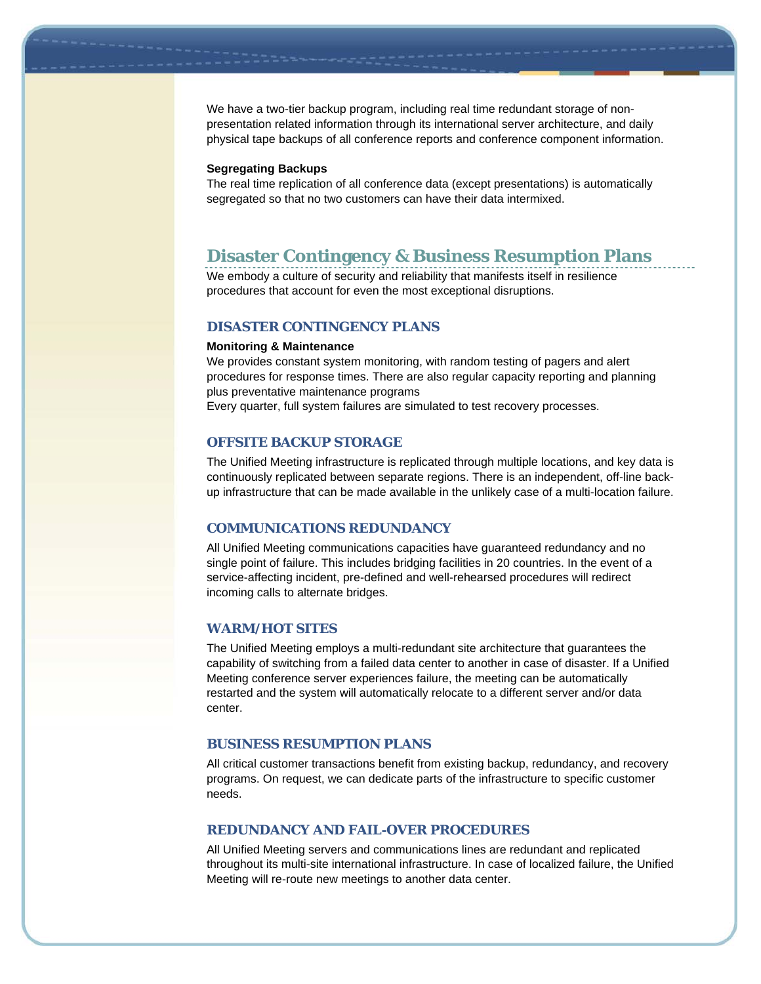We have a two-tier backup program, including real time redundant storage of nonpresentation related information through its international server architecture, and daily physical tape backups of all conference reports and conference component information.

#### **Segregating Backups**

The real time replication of all conference data (except presentations) is automatically segregated so that no two customers can have their data intermixed.

## **Disaster Contingency & Business Resumption Plans**

We embody a culture of security and reliability that manifests itself in resilience procedures that account for even the most exceptional disruptions.

#### **DISASTER CONTINGENCY PLANS**

#### **Monitoring & Maintenance**

We provides constant system monitoring, with random testing of pagers and alert procedures for response times. There are also regular capacity reporting and planning plus preventative maintenance programs

Every quarter, full system failures are simulated to test recovery processes.

#### **OFFSITE BACKUP STORAGE**

The Unified Meeting infrastructure is replicated through multiple locations, and key data is continuously replicated between separate regions. There is an independent, off-line backup infrastructure that can be made available in the unlikely case of a multi-location failure.

#### **COMMUNICATIONS REDUNDANCY**

All Unified Meeting communications capacities have guaranteed redundancy and no single point of failure. This includes bridging facilities in 20 countries. In the event of a service-affecting incident, pre-defined and well-rehearsed procedures will redirect incoming calls to alternate bridges.

#### **WARM/HOT SITES**

The Unified Meeting employs a multi-redundant site architecture that guarantees the capability of switching from a failed data center to another in case of disaster. If a Unified Meeting conference server experiences failure, the meeting can be automatically restarted and the system will automatically relocate to a different server and/or data center.

#### **BUSINESS RESUMPTION PLANS**

All critical customer transactions benefit from existing backup, redundancy, and recovery programs. On request, we can dedicate parts of the infrastructure to specific customer needs.

#### **REDUNDANCY AND FAIL-OVER PROCEDURES**

All Unified Meeting servers and communications lines are redundant and replicated throughout its multi-site international infrastructure. In case of localized failure, the Unified Meeting will re-route new meetings to another data center.